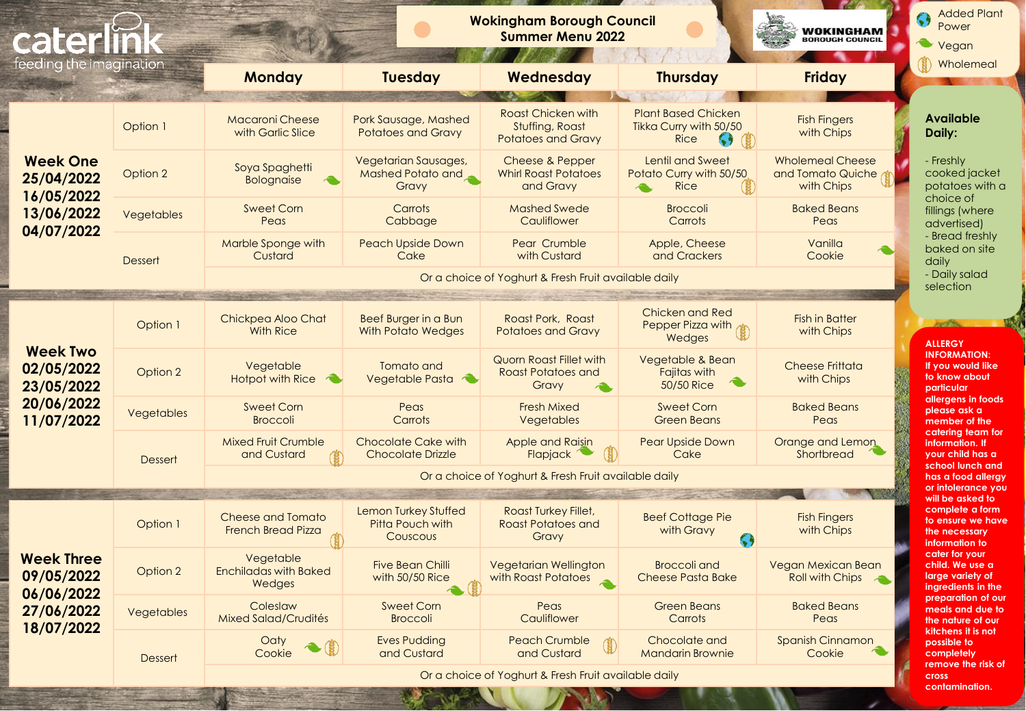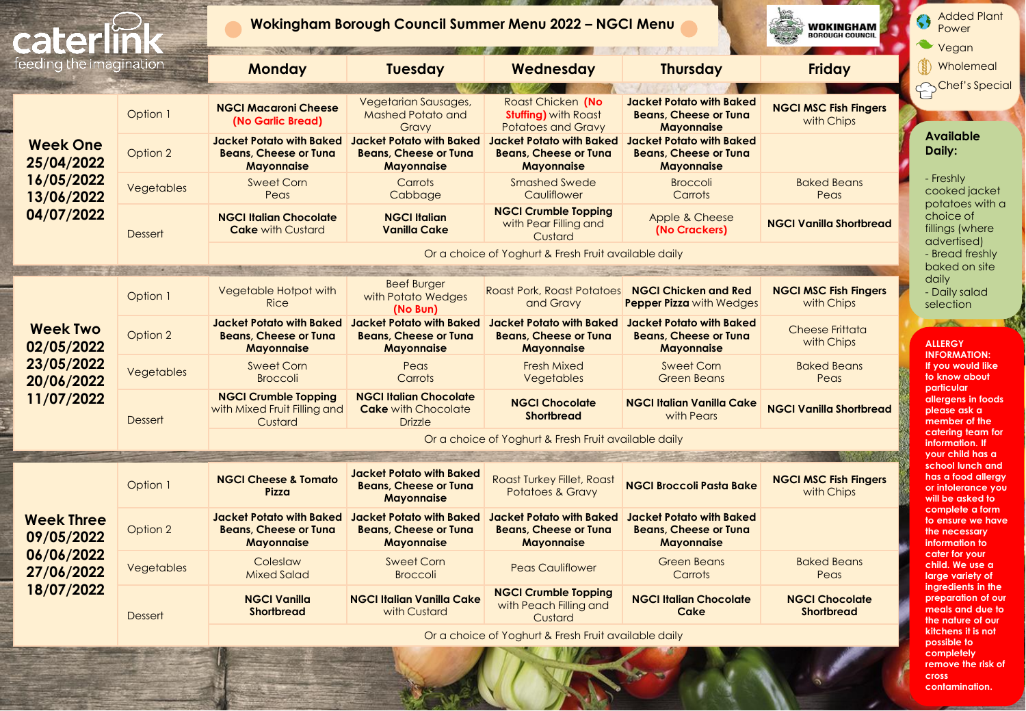| cater                           |                   |                                                                                      | Wokingham Borough Council Summer Menu 2022 - NGCI Menu                               | WOKINGHAM<br><b>BOROUGH COUNCIL</b>                                                  | <b>Added Plant</b><br>$\bullet$<br>Power<br>Vegan                                    |                                            |                                                                                   |
|---------------------------------|-------------------|--------------------------------------------------------------------------------------|--------------------------------------------------------------------------------------|--------------------------------------------------------------------------------------|--------------------------------------------------------------------------------------|--------------------------------------------|-----------------------------------------------------------------------------------|
| feeding the imagination         |                   | <b>Monday</b>                                                                        | <b>Tuesday</b>                                                                       | Wednesday                                                                            | <b>Thursday</b>                                                                      | <b>Friday</b>                              | Wholemeal                                                                         |
|                                 | Option 1          | <b>NGCI Macaroni Cheese</b><br>(No Garlic Bread)                                     | Vegetarian Sausages,<br><b>Mashed Potato and</b><br>Gravy                            | Roast Chicken (No<br><b>Stuffing)</b> with Roast<br><b>Potatoes and Gravy</b>        | <b>Jacket Potato with Baked</b><br><b>Beans, Cheese or Tuna</b><br><b>Mayonnaise</b> | <b>NGCI MSC Fish Fingers</b><br>with Chips | Chef's Special                                                                    |
| <b>Week One</b><br>25/04/2022   | Option 2          | <b>Jacket Potato with Baked</b><br><b>Beans, Cheese or Tuna</b><br><b>Mayonnaise</b> | Jacket Potato with Baked<br><b>Beans, Cheese or Tuna</b><br><b>Mayonnaise</b>        | <b>Jacket Potato with Baked</b><br><b>Beans, Cheese or Tuna</b><br><b>Mayonnaise</b> | <b>Jacket Potato with Baked</b><br><b>Beans, Cheese or Tuna</b><br><b>Mayonnaise</b> |                                            | <b>Available</b><br>Daily:                                                        |
| 16/05/2022<br>13/06/2022        | Vegetables        | <b>Sweet Corn</b><br>Peas                                                            | <b>Carrots</b><br>Cabbage                                                            | <b>Smashed Swede</b><br>Cauliflower                                                  | <b>Broccoli</b><br>Carrots                                                           | <b>Baked Beans</b><br>Peas                 | - Freshly<br>cooked jacket                                                        |
| 04/07/2022                      | <b>Dessert</b>    | <b>NGCI Italian Chocolate</b><br><b>Cake with Custard</b>                            | <b>NGCI Italian</b><br><b>Vanilla Cake</b>                                           | <b>NGCI Crumble Topping</b><br>with Pear Filling and<br>Custard                      | Apple & Cheese<br>(No Crackers)                                                      | <b>NGCI Vanilla Shortbread</b>             | potatoes with a<br>choice of<br>fillings (where<br>advertised)                    |
|                                 |                   |                                                                                      |                                                                                      | Or a choice of Yoghurt & Fresh Fruit available daily                                 |                                                                                      |                                            | - Bread freshly<br>baked on site                                                  |
|                                 | Option 1          | Vegetable Hotpot with<br><b>Rice</b>                                                 | <b>Beef Burger</b><br>with Potato Wedges<br>(No Bun)                                 | Roast Pork, Roast Potatoes <b>NGCI Chicken and Red</b><br>and Gravy                  | <b>Pepper Pizza with Wedges</b>                                                      | <b>NGCI MSC Fish Fingers</b><br>with Chips | daily<br>- Daily salad<br>selection                                               |
| <b>Week Two</b><br>02/05/2022   | Option 2          | <b>Jacket Potato with Baked</b><br><b>Beans, Cheese or Tuna</b><br><b>Mayonnaise</b> | Jacket Potato with Baked<br><b>Beans, Cheese or Tuna</b><br><b>Mayonnaise</b>        | Jacket Potato with Baked<br><b>Beans, Cheese or Tuna</b><br><b>Mayonnaise</b>        | <b>Jacket Potato with Baked</b><br><b>Beans, Cheese or Tuna</b><br><b>Mayonnaise</b> | <b>Cheese Frittata</b><br>with Chips       | <b>ALLERGY</b><br><b>INFORMATION:</b>                                             |
| 23/05/2022<br>20/06/2022        | <b>Vegetables</b> | <b>Sweet Corn</b><br><b>Broccoli</b>                                                 | Peas<br><b>Carrots</b>                                                               | <b>Fresh Mixed</b><br>Vegetables                                                     | <b>Sweet Corn</b><br><b>Green Beans</b>                                              | <b>Baked Beans</b><br>Peas                 | If you would like<br>to know about                                                |
| 11/07/2022                      | <b>Dessert</b>    | <b>NGCI Crumble Topping</b><br>with Mixed Fruit Filling and<br>Custard               | <b>NGCI Italian Chocolate</b><br><b>Cake with Chocolate</b><br><b>Drizzle</b>        | <b>NGCI Chocolate</b><br><b>Shortbread</b>                                           | <b>NGCI Italian Vanilla Cake</b><br>with Pears                                       | <b>NGCI Vanilla Shortbread</b>             | particular<br>allergens in foods<br>please ask a<br>member of the                 |
|                                 |                   |                                                                                      |                                                                                      | Or a choice of Yoghurt & Fresh Fruit available daily                                 |                                                                                      |                                            | catering team for<br>information. If<br>your child has a                          |
|                                 | Option 1          | <b>NGCI Cheese &amp; Tomato</b><br>Pizza                                             | <b>Jacket Potato with Baked</b><br><b>Beans, Cheese or Tuna</b><br><b>Mayonnaise</b> | Roast Turkey Fillet, Roast<br><b>Potatoes &amp; Gravy</b>                            | <b>NGCI Broccoli Pasta Bake</b>                                                      | <b>NGCI MSC Fish Fingers</b><br>with Chips | school lunch and<br>has a food allergy<br>or infolerance you<br>will be asked to  |
| <b>Week Three</b><br>09/05/2022 | Option 2          | <b>Jacket Potato with Baked</b><br><b>Beans, Cheese or Tuna</b><br><b>Mayonnaise</b> | Jacket Potato with Baked<br><b>Beans, Cheese or Tuna</b><br><b>Mayonnaise</b>        | Jacket Potato with Baked<br><b>Beans, Cheese or Tuna</b><br><b>Mayonnaise</b>        | <b>Jacket Potato with Baked</b><br><b>Beans, Cheese or Tuna</b><br><b>Mayonnaise</b> |                                            | complete a form<br>to ensure we have<br>the necessary<br>information to           |
| 06/06/2022<br>27/06/2022        | Vegetables        | Coleslaw<br><b>Mixed Salad</b>                                                       | <b>Sweet Corn</b><br><b>Broccoli</b>                                                 | <b>Peas Cauliflower</b>                                                              | <b>Green Beans</b><br>Carrots                                                        | <b>Baked Beans</b><br>Peas                 | cater for your<br>child. We use a<br>large variety of                             |
| 18/07/2022                      | <b>Dessert</b>    | <b>NGCI Vanilla</b><br><b>Shortbread</b>                                             | <b>NGCI Italian Vanilla Cake</b><br>with Custard                                     | <b>NGCI Crumble Topping</b><br>with Peach Filling and<br>Custard                     | <b>NGCI Italian Chocolate</b><br><b>Cake</b>                                         | <b>NGCI Chocolate</b><br><b>Shortbread</b> | ingredients in the<br>preparation of our<br>meals and due to<br>the nature of our |
|                                 |                   |                                                                                      |                                                                                      | Or a choice of Yoghurt & Fresh Fruit available daily                                 |                                                                                      |                                            | kitchens it is not<br>possible to                                                 |

**completely remove the risk of cross contamination.**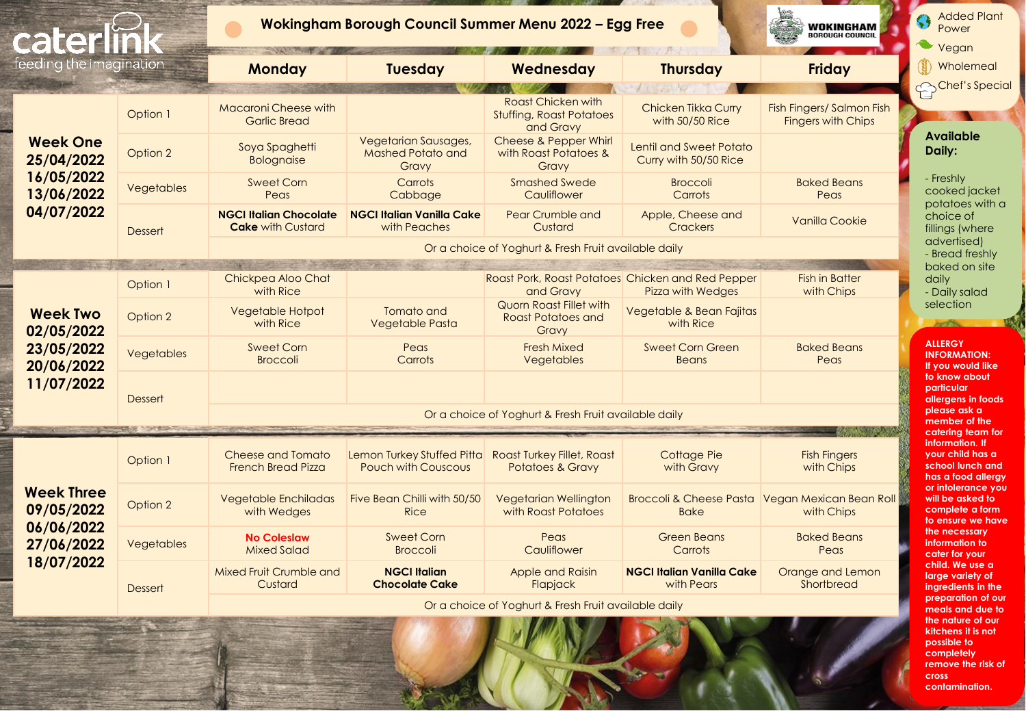| cater                           |                |                                                           | Wokingham Borough Council Summer Menu 2022 - Egg Free     |                                                                    | WOKINGHAM<br><b>ROROUGH COUNCIL</b>               | <b>Added Plant</b><br>Power<br>Vegan                   |                                                                                |
|---------------------------------|----------------|-----------------------------------------------------------|-----------------------------------------------------------|--------------------------------------------------------------------|---------------------------------------------------|--------------------------------------------------------|--------------------------------------------------------------------------------|
| feeding the imagination         |                | <b>Monday</b>                                             | <b>Tuesday</b>                                            | Wednesday                                                          | <b>Thursday</b>                                   | <b>Friday</b>                                          | Wholemeal                                                                      |
|                                 |                |                                                           |                                                           |                                                                    |                                                   |                                                        | Chef's Special                                                                 |
|                                 | Option 1       | <b>Macaroni Cheese with</b><br><b>Garlic Bread</b>        |                                                           | Roast Chicken with<br><b>Stuffing, Roast Potatoes</b><br>and Gravy | Chicken Tikka Curry<br>with 50/50 Rice            | Fish Fingers/ Salmon Fish<br><b>Fingers with Chips</b> |                                                                                |
| <b>Week One</b><br>25/04/2022   | Option 2       | Soya Spaghetti<br><b>Bolognaise</b>                       | Vegetarian Sausages,<br><b>Mashed Potato and</b><br>Gravy | <b>Cheese &amp; Pepper Whirl</b><br>with Roast Potatoes &<br>Gravy | Lentil and Sweet Potato<br>Curry with 50/50 Rice  |                                                        | <b>Available</b><br>Daily:                                                     |
| 16/05/2022<br>13/06/2022        | Vegetables     | Sweet Corn<br>Peas                                        | Carrots<br>Cabbage                                        | <b>Smashed Swede</b><br>Cauliflower                                | <b>Broccoli</b><br>Carrots                        | <b>Baked Beans</b><br>Peas                             | - Freshly<br>cooked jacket<br>potatoes with a                                  |
| 04/07/2022                      | <b>Dessert</b> | <b>NGCI Italian Chocolate</b><br><b>Cake with Custard</b> | <b>NGCI Italian Vanilla Cake</b><br>with Peaches          | Pear Crumble and<br>Custard                                        | Apple, Cheese and<br><b>Crackers</b>              | Vanilla Cookie                                         | choice of<br>fillings (where                                                   |
|                                 |                |                                                           |                                                           | Or a choice of Yoghurt & Fresh Fruit available daily               |                                                   |                                                        | advertised)<br>- Bread freshly                                                 |
|                                 |                |                                                           |                                                           |                                                                    |                                                   |                                                        | baked on site                                                                  |
|                                 | Option 1       | Chickpea Aloo Chat<br>with Rice                           |                                                           | Roast Pork, Roast Potatoes Chicken and Red Pepper<br>and Gravy     | <b>Pizza with Wedges</b>                          | <b>Fish in Batter</b><br>with Chips                    | daily<br>- Daily salad                                                         |
| <b>Week Two</b><br>02/05/2022   | Option 2       | <b>Vegetable Hotpot</b><br>with Rice                      | Tomato and<br>Vegetable Pasta                             | Quorn Roast Fillet with<br><b>Roast Potatoes and</b><br>Gravy      | Vegetable & Bean Fajitas<br>with Rice             |                                                        | selection                                                                      |
| 23/05/2022<br>20/06/2022        | Vegetables     | <b>Sweet Corn</b><br><b>Broccoli</b>                      | Peas<br>Carrots                                           | <b>Fresh Mixed</b><br>Vegetables                                   | <b>Sweet Corn Green</b><br><b>Beans</b>           | <b>Baked Beans</b><br>Peas                             | <b>ALLERGY</b><br><b>INFORMATION:</b><br>If you would like                     |
| 11/07/2022                      | <b>Dessert</b> |                                                           |                                                           |                                                                    |                                                   |                                                        | to know about<br>particular<br>allergens in foods<br>please ask a              |
|                                 |                | Or a choice of Yoghurt & Fresh Fruit available daily      |                                                           |                                                                    |                                                   |                                                        |                                                                                |
|                                 |                |                                                           |                                                           |                                                                    |                                                   |                                                        | catering team for<br>information. If                                           |
|                                 | Option 1       | Cheese and Tomato<br><b>French Bread Pizza</b>            | Lemon Turkey Stuffed Pitta<br><b>Pouch with Couscous</b>  | <b>Roast Turkey Fillet, Roast</b><br><b>Potatoes &amp; Gravy</b>   | Cottage Pie<br>with Gravy                         | <b>Fish Fingers</b><br>with Chips                      | your child has a<br>school lunch and<br>has a food allergy                     |
| <b>Week Three</b><br>09/05/2022 | Option 2       | <b>Vegetable Enchiladas</b><br>with Wedges                | Five Bean Chilli with 50/50<br><b>Rice</b>                | <b>Vegetarian Wellington</b><br>with Roast Potatoes                | <b>Broccoli &amp; Cheese Pasta</b><br><b>Bake</b> | Vegan Mexican Bean Roll<br>with Chips                  | or infolerance you<br>will be asked to<br>complete a form<br>to ensure we have |
| 06/06/2022<br>27/06/2022        | Vegetables     | <b>No Coleslaw</b><br><b>Mixed Salad</b>                  | <b>Sweet Corn</b><br><b>Broccoli</b>                      | Peas<br>Cauliflower                                                | <b>Green Beans</b><br>Carrots                     | <b>Baked Beans</b><br>Peas                             | the necessary<br>information to<br>cater for your                              |
| 18/07/2022                      | <b>Dessert</b> | Mixed Fruit Crumble and<br>Custard                        | <b>NGCI Italian</b><br><b>Chocolate Cake</b>              | Apple and Raisin<br>Flapjack                                       | <b>NGCI Italian Vanilla Cake</b><br>with Pears    | Orange and Lemon<br>Shortbread                         | child. We use a<br>large variety of<br>ingredients in the                      |
|                                 |                |                                                           |                                                           | Or a choice of Yoghurt & Fresh Fruit available daily               |                                                   |                                                        | preparation of our<br>meals and due to                                         |
|                                 |                |                                                           |                                                           |                                                                    |                                                   |                                                        | the nature of our<br>kitchens it is not                                        |

**cross contamination.**

**possible to completely remove the risk of**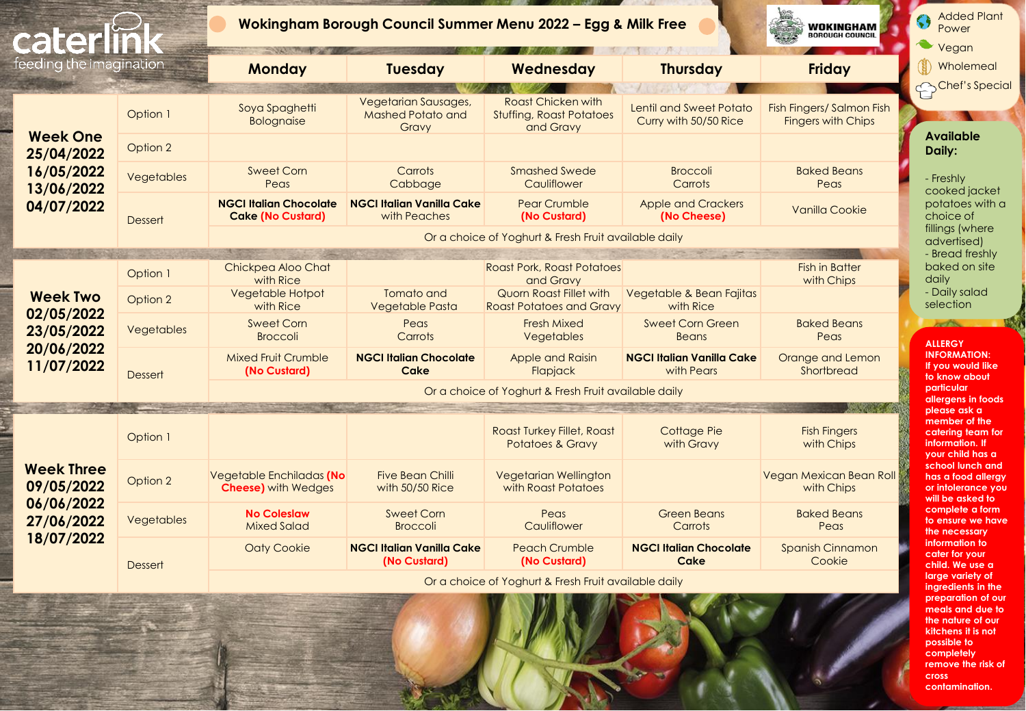| caterl                                                      |                        |                                                           | Wokingham Borough Council Summer Menu 2022 - Egg & Milk Free | <b>WOKINGHAM</b><br>BOROUGH COUNCIL                                                   | <b>Added Plant</b><br>Power<br>Vegan                    |                                                        |                                                                                           |
|-------------------------------------------------------------|------------------------|-----------------------------------------------------------|--------------------------------------------------------------|---------------------------------------------------------------------------------------|---------------------------------------------------------|--------------------------------------------------------|-------------------------------------------------------------------------------------------|
| feeding the imagination                                     |                        | <b>Monday</b>                                             | <b>Tuesday</b>                                               | Wednesday                                                                             | <b>Thursday</b>                                         | <b>Friday</b>                                          | Wholemeal                                                                                 |
| <b>Week One</b>                                             | Option 1               | Soya Spaghetti<br><b>Bolognaise</b>                       | Vegetarian Sausages,<br>Mashed Potato and<br>Gravy           | <b>Roast Chicken with</b><br><b>Stuffing, Roast Potatoes</b><br>and Gravy             | <b>Lentil and Sweet Potato</b><br>Curry with 50/50 Rice | Fish Fingers/ Salmon Fish<br><b>Fingers with Chips</b> | Chef's Special<br><b>Available</b>                                                        |
| 25/04/2022<br>16/05/2022<br>13/06/2022                      | Option 2<br>Vegetables | <b>Sweet Corn</b><br>Peas                                 | Carrots<br>Cabbage                                           | <b>Smashed Swede</b><br>Cauliflower                                                   | <b>Broccoli</b><br>Carrots                              | <b>Baked Beans</b><br>Peas                             | Daily:<br>- Freshly<br>cooked jacket                                                      |
| 04/07/2022                                                  | <b>Dessert</b>         | <b>NGCI Italian Chocolate</b><br><b>Cake (No Custard)</b> | <b>NGCI Italian Vanilla Cake</b><br>with Peaches             | <b>Pear Crumble</b><br>(No Custard)                                                   | <b>Apple and Crackers</b><br>(No Cheese)                | Vanilla Cookie                                         | potatoes with a<br>choice of                                                              |
|                                                             |                        |                                                           |                                                              | Or a choice of Yoghurt & Fresh Fruit available daily                                  |                                                         |                                                        | fillings (where<br>advertised)                                                            |
|                                                             | Option 1               | Chickpea Aloo Chat<br>with Rice                           |                                                              | <b>Roast Pork, Roast Potatoes</b><br>and Gravy                                        |                                                         | <b>Fish in Batter</b><br>with Chips                    | - Bread freshly<br>baked on site<br>dailv                                                 |
| <b>Week Two</b>                                             | Option 2               | Vegetable Hotpot<br>with Rice                             | Tomato and<br>Vegetable Pasta                                | Quorn Roast Fillet with<br><b>Roast Potatoes and Gravy</b>                            | Vegetable & Bean Fajitas<br>with Rice                   |                                                        | - Daily salad<br>selection                                                                |
| 02/05/2022<br>23/05/2022                                    | Vegetables             | <b>Sweet Corn</b><br><b>Broccoli</b>                      | Peas<br>Carrots                                              | <b>Fresh Mixed</b><br>Vegetables                                                      | <b>Sweet Corn Green</b><br><b>Beans</b>                 | <b>Baked Beans</b><br>Peas                             | <b>ALLERGY</b>                                                                            |
| 20/06/2022<br>11/07/2022                                    | <b>Dessert</b>         | <b>Mixed Fruit Crumble</b><br>(No Custard)                | <b>NGCI Italian Chocolate</b><br>Cake                        | Apple and Raisin<br>Flapjack                                                          | <b>NGCI Italian Vanilla Cake</b><br>with Pears          | Orange and Lemon<br>Shortbread                         | <b>INFORMATION:</b><br>If you would like<br>to know about                                 |
|                                                             |                        | Or a choice of Yoghurt & Fresh Fruit available daily      |                                                              |                                                                                       |                                                         |                                                        |                                                                                           |
| <b>Week Three</b><br>09/05/2022<br>06/06/2022<br>27/06/2022 | Option 1               |                                                           |                                                              | <b>Roast Turkey Fillet, Roast</b><br><b>Potatoes &amp; Gravy</b>                      | Cottage Pie<br>with Gravy                               | <b>Fish Fingers</b><br>with Chips                      | please ask a<br>member of the<br>catering team for<br>information. If<br>your child has a |
|                                                             | Option 2               | Vegetable Enchiladas (No<br><b>Cheese)</b> with Wedges    | <b>Five Bean Chilli</b><br>with 50/50 Rice                   | Vegetarian Wellington<br>with Roast Potatoes                                          |                                                         | Vegan Mexican Bean Roll<br>with Chips                  | school lunch and<br>has a food allergy<br>or infolerance you<br>will be asked to          |
|                                                             | Vegetables             | <b>No Coleslaw</b><br><b>Mixed Salad</b>                  | <b>Sweet Corn</b><br><b>Broccoli</b>                         | Peas<br>Cauliflower                                                                   | <b>Green Beans</b><br>Carrots                           | <b>Baked Beans</b><br>Peas                             | complete a form<br>to ensure we have<br>the necessary                                     |
| 18/07/2022                                                  | <b>Dessert</b>         | <b>Oaty Cookie</b>                                        | <b>NGCI Italian Vanilla Cake</b><br>(No Custard)             | <b>Peach Crumble</b><br>(No Custard)                                                  | <b>NGCI Italian Chocolate</b><br>Cake                   | <b>Spanish Cinnamon</b><br>Cookie                      | information to<br>cater for your<br>child. We use a                                       |
|                                                             |                        |                                                           |                                                              | Or a choice of Yoghurt & Fresh Fruit available daily<br>$1.7$ M $2.1$ M $2.3$ M $3.3$ |                                                         |                                                        | large variety of<br>ingredients in the<br>preparation of our                              |

**preparation of our meals and due to the nature of our kitchens it is not possible to completely remove the risk of cross** 

**contamination.**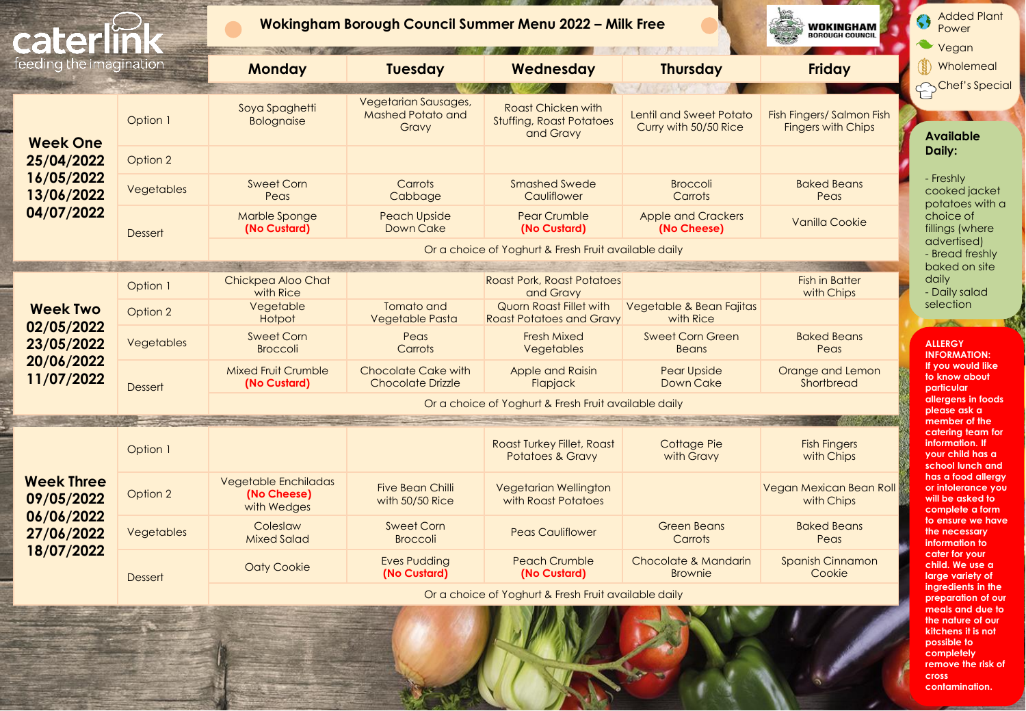| cater                                                       |                | <b>Wokingham Borough Council Summer Menu 2022 - Milk Free</b> | WOKINGHAM<br><b>SOROUGH COUNCIL</b>                       | <b>Added Plant</b><br>Çi<br>Power<br>Vegan                                |                                                  |                                                        |                                                                                 |
|-------------------------------------------------------------|----------------|---------------------------------------------------------------|-----------------------------------------------------------|---------------------------------------------------------------------------|--------------------------------------------------|--------------------------------------------------------|---------------------------------------------------------------------------------|
| feeding the imagination                                     |                | <b>Monday</b>                                                 | <b>Tuesday</b>                                            | Wednesday                                                                 | <b>Thursday</b>                                  | <b>Friday</b>                                          | Wholemeal                                                                       |
| <b>Week One</b>                                             | Option 1       | Soya Spaghetti<br>Bolognaise                                  | Vegetarian Sausages,<br><b>Mashed Potato and</b><br>Gravy | <b>Roast Chicken with</b><br><b>Stuffing, Roast Potatoes</b><br>and Gravy | Lentil and Sweet Potato<br>Curry with 50/50 Rice | Fish Fingers/ Salmon Fish<br><b>Fingers with Chips</b> | Chef's Special<br><b>Available</b>                                              |
| 25/04/2022                                                  | Option 2       |                                                               |                                                           |                                                                           |                                                  |                                                        | Daily:                                                                          |
| 16/05/2022<br>13/06/2022                                    | Vegetables     | <b>Sweet Corn</b><br>Peas                                     | Carrots<br>Cabbage                                        | <b>Smashed Swede</b><br>Cauliflower                                       | <b>Broccoli</b><br>Carrots                       | <b>Baked Beans</b><br>Peas                             | - Freshly<br>cooked jacket<br>potatoes with a                                   |
| 04/07/2022                                                  | <b>Dessert</b> | Marble Sponge<br>(No Custard)                                 | <b>Peach Upside</b><br>Down Cake                          | <b>Pear Crumble</b><br>(No Custard)                                       | <b>Apple and Crackers</b><br>(No Cheese)         | <b>Vanilla Cookie</b>                                  | choice of<br>fillings (where                                                    |
|                                                             |                |                                                               |                                                           | Or a choice of Yoghurt & Fresh Fruit available daily                      |                                                  |                                                        | advertised)<br>- Bread freshly                                                  |
|                                                             |                |                                                               |                                                           |                                                                           |                                                  |                                                        | baked on site                                                                   |
|                                                             | Option 1       | Chickpea Aloo Chat<br>with Rice                               |                                                           | <b>Roast Pork, Roast Potatoes</b><br>and Gravy                            |                                                  | <b>Fish in Batter</b><br>with Chips                    | daily<br>- Daily salad                                                          |
| <b>Week Two</b><br>02/05/2022                               | Option 2       | Vegetable<br>Hotpot                                           | Tomato and<br>Vegetable Pasta                             | Quorn Roast Fillet with<br><b>Roast Potatoes and Gravy</b>                | Vegetable & Bean Fajitas<br>with Rice            |                                                        | selection                                                                       |
| 23/05/2022                                                  | Vegetables     | <b>Sweet Corn</b><br><b>Broccoli</b>                          | Peas<br>Carrots                                           | <b>Fresh Mixed</b><br><b>Vegetables</b>                                   | <b>Sweet Corn Green</b><br><b>Beans</b>          | <b>Baked Beans</b><br>Peas                             | <b>ALLERGY</b><br><b>INFORMATION:</b>                                           |
| 20/06/2022<br>11/07/2022                                    | <b>Dessert</b> | <b>Mixed Fruit Crumble</b><br>(No Custard)                    | <b>Chocolate Cake with</b><br><b>Chocolate Drizzle</b>    | Apple and Raisin<br>Flapjack                                              | <b>Pear Upside</b><br>Down Cake                  | Orange and Lemon<br>Shortbread                         | If you would like<br>to know about<br>particular                                |
|                                                             |                |                                                               |                                                           | Or a choice of Yoghurt & Fresh Fruit available daily                      |                                                  |                                                        | allergens in foods<br>please ask a                                              |
|                                                             |                |                                                               |                                                           |                                                                           |                                                  |                                                        | member of the                                                                   |
|                                                             | Option 1       |                                                               |                                                           | Roast Turkey Fillet, Roast<br><b>Potatoes &amp; Gravy</b>                 | Cottage Pie<br>with Gravy                        | <b>Fish Fingers</b><br>with Chips                      | catering team for<br>information. If<br>your child has a<br>school lunch and    |
| <b>Week Three</b><br>09/05/2022<br>06/06/2022<br>27/06/2022 | Option 2       | <b>Vegetable Enchiladas</b><br>(No Cheese)<br>with Wedges     | <b>Five Bean Chilli</b><br>with 50/50 Rice                | Vegetarian Wellington<br>with Roast Potatoes                              |                                                  | Vegan Mexican Bean Roll<br>with Chips                  | has a food allergy<br>or infolerance you<br>will be asked to<br>complete a form |
|                                                             | Vegetables     | Coleslaw<br><b>Mixed Salad</b>                                | <b>Sweet Corn</b><br><b>Broccoli</b>                      | <b>Peas Cauliflower</b>                                                   | <b>Green Beans</b><br>Carrots                    | <b>Baked Beans</b><br>Peas                             | to ensure we have<br>the necessary<br>information to                            |
| 18/07/2022                                                  | <b>Dessert</b> | <b>Oaty Cookie</b>                                            | <b>Eves Pudding</b><br>(No Custard)                       | <b>Peach Crumble</b><br>(No Custard)                                      | Chocolate & Mandarin<br><b>Brownie</b>           | <b>Spanish Cinnamon</b><br>Cookie                      | cater for your<br>child. We use a<br>large variety of                           |
|                                                             |                |                                                               |                                                           | Or a choice of Yoghurt & Fresh Fruit available daily                      |                                                  |                                                        | ingredients in the<br>preparation of our<br>meals and due to                    |

**meals and due to the nature of our kitchens it is not possible to completely remove the risk of cross contamination.**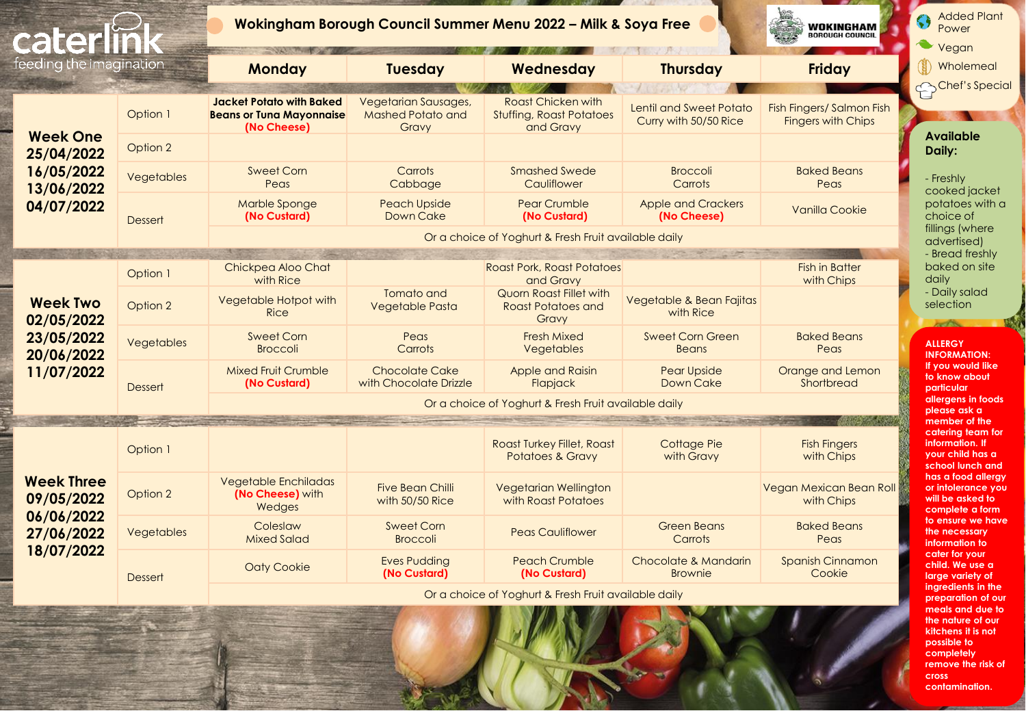|                |                                                                                   | WOKINGHAM<br><b>BOROUGH COUNCIL</b>                       |                                                                           |                                                  |                                                                                                                                                                                                                    |  |
|----------------|-----------------------------------------------------------------------------------|-----------------------------------------------------------|---------------------------------------------------------------------------|--------------------------------------------------|--------------------------------------------------------------------------------------------------------------------------------------------------------------------------------------------------------------------|--|
|                | <b>Monday</b>                                                                     | <b>Tuesday</b>                                            | Wednesday                                                                 | <b>Thursday</b>                                  | <b>Friday</b>                                                                                                                                                                                                      |  |
| Option 1       | <b>Jacket Potato with Baked</b><br><b>Beans or Tuna Mayonnaise</b><br>(No Cheese) | Vegetarian Sausages,<br><b>Mashed Potato and</b><br>Gravy | <b>Roast Chicken with</b><br><b>Stuffing, Roast Potatoes</b><br>and Gravy | Lentil and Sweet Potato<br>Curry with 50/50 Rice | Fish Fingers/ Salmon Fish<br><b>Fingers with Chips</b>                                                                                                                                                             |  |
| Option 2       |                                                                                   |                                                           |                                                                           |                                                  |                                                                                                                                                                                                                    |  |
| Vegetables     | <b>Sweet Corn</b><br>Peas                                                         | Carrots<br>Cabbage                                        | <b>Smashed Swede</b><br>Cauliflower                                       | <b>Broccoli</b><br>Carrots                       | <b>Baked Beans</b><br>Peas                                                                                                                                                                                         |  |
| <b>Dessert</b> | Marble Sponge<br>(No Custard)                                                     | <b>Peach Upside</b><br>Down Cake                          | <b>Pear Crumble</b><br>(No Custard)                                       | <b>Apple and Crackers</b><br>(No Cheese)         | Vanilla Cookie                                                                                                                                                                                                     |  |
|                |                                                                                   |                                                           |                                                                           |                                                  |                                                                                                                                                                                                                    |  |
| Option 1       | Chickpea Aloo Chat<br>with Rice                                                   |                                                           | and Gravy                                                                 |                                                  | <b>Fish in Batter</b><br>with Chips                                                                                                                                                                                |  |
| Option 2       | Vegetable Hotpot with<br><b>Rice</b>                                              | Tomato and<br>Vegetable Pasta                             | Quorn Roast Fillet with<br>Roast Potatoes and<br>Gravy                    | Vegetable & Bean Fajitas<br>with Rice            |                                                                                                                                                                                                                    |  |
| Vegetables     | <b>Sweet Corn</b><br><b>Broccoli</b>                                              | Peas<br>Carrots                                           | <b>Fresh Mixed</b><br>Vegetables                                          | <b>Sweet Corn Green</b><br><b>Beans</b>          | <b>Baked Beans</b><br>Peas                                                                                                                                                                                         |  |
| <b>Dessert</b> | <b>Mixed Fruit Crumble</b><br>(No Custard)                                        | <b>Chocolate Cake</b><br>with Chocolate Drizzle           | <b>Apple and Raisin</b><br>Flapjack                                       | <b>Pear Upside</b><br>Down Cake                  | Orange and Lemon<br>Shortbread                                                                                                                                                                                     |  |
|                | Or a choice of Yoghurt & Fresh Fruit available daily                              |                                                           |                                                                           |                                                  |                                                                                                                                                                                                                    |  |
| Option 1       |                                                                                   |                                                           | <b>Roast Turkey Fillet, Roast</b><br><b>Potatoes &amp; Gravy</b>          | Cottage Pie<br>with Gravy                        | <b>Fish Fingers</b><br>with Chips                                                                                                                                                                                  |  |
| Option 2       | <b>Vegetable Enchiladas</b><br>(No Cheese) with<br>Wedges                         | <b>Five Bean Chilli</b><br>with 50/50 Rice                | Vegetarian Wellington<br>with Roast Potatoes                              |                                                  | Vegan Mexican Bean Roll<br>with Chips                                                                                                                                                                              |  |
| Vegetables     | Coleslaw<br><b>Mixed Salad</b>                                                    | <b>Sweet Corn</b><br><b>Broccoli</b>                      | <b>Peas Cauliflower</b>                                                   | <b>Green Beans</b><br>Carrots                    | <b>Baked Beans</b><br>Peas                                                                                                                                                                                         |  |
| <b>Dessert</b> | <b>Oaty Cookie</b>                                                                | <b>Eves Pudding</b><br>(No Custard)                       | <b>Peach Crumble</b><br>(No Custard)                                      | Chocolate & Mandarin<br><b>Brownie</b>           | Spanish Cinnamon<br>Cookie                                                                                                                                                                                         |  |
|                |                                                                                   |                                                           |                                                                           |                                                  |                                                                                                                                                                                                                    |  |
|                | feeding the imagination                                                           |                                                           |                                                                           |                                                  | Wokingham Borough Council Summer Menu 2022 - Milk & Soya Free<br>Or a choice of Yoghurt & Fresh Fruit available daily<br><b>Roast Pork, Roast Potatoes</b><br>Or a choice of Yoghurt & Fresh Fruit available daily |  |

**remove the risk of cross contamination.**

**kitchens it is not possible to completely**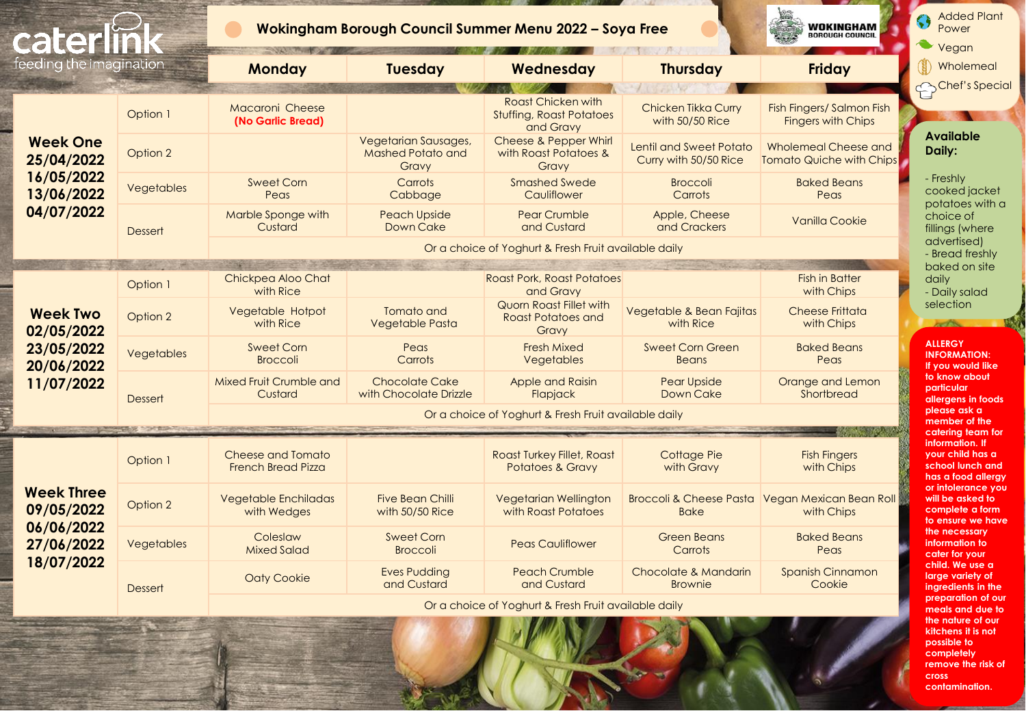| cater                                                       |                |                                                       |                                                           | Wokingham Borough Council Summer Menu 2022 - Soya Free                    |                                                         | WOKINGHAM<br><b>BOROUGH COUNCIL</b>                           |  |
|-------------------------------------------------------------|----------------|-------------------------------------------------------|-----------------------------------------------------------|---------------------------------------------------------------------------|---------------------------------------------------------|---------------------------------------------------------------|--|
| feeding the imagination                                     |                | <b>Monday</b>                                         | <b>Tuesday</b>                                            | Wednesday                                                                 | <b>Thursday</b>                                         | <b>Friday</b>                                                 |  |
|                                                             | Option 1       | Macaroni Cheese<br>(No Garlic Bread)                  |                                                           | <b>Roast Chicken with</b><br><b>Stuffing, Roast Potatoes</b><br>and Gravy | Chicken Tikka Curry<br>with 50/50 Rice                  | Fish Fingers/ Salmon Fish<br><b>Fingers with Chips</b>        |  |
| <b>Week One</b><br>25/04/2022                               | Option 2       |                                                       | Vegetarian Sausages,<br><b>Mashed Potato and</b><br>Gravy | Cheese & Pepper Whirl<br>with Roast Potatoes &<br>Gravy                   | <b>Lentil and Sweet Potato</b><br>Curry with 50/50 Rice | Wholemeal Cheese and<br><b>Tomato Quiche with Chips</b>       |  |
| 16/05/2022<br>13/06/2022                                    | Vegetables     | <b>Sweet Corn</b><br>Peas                             | Carrots<br>Cabbage                                        | <b>Smashed Swede</b><br>Cauliflower                                       | <b>Broccoli</b><br>Carrots                              | <b>Baked Beans</b><br>Peas                                    |  |
| 04/07/2022                                                  | <b>Dessert</b> | Marble Sponge with<br>Custard                         | <b>Peach Upside</b><br>Down Cake                          | <b>Pear Crumble</b><br>and Custard                                        | Apple, Cheese<br>and Crackers                           | Vanilla Cookie                                                |  |
|                                                             |                |                                                       |                                                           | Or a choice of Yoghurt & Fresh Fruit available daily                      |                                                         |                                                               |  |
|                                                             |                |                                                       |                                                           |                                                                           |                                                         |                                                               |  |
|                                                             | Option 1       | Chickpea Aloo Chat<br>with Rice                       |                                                           | <b>Roast Pork, Roast Potatoes</b><br>and Gravy                            |                                                         | <b>Fish in Batter</b><br>with Chips                           |  |
| <b>Week Two</b><br>02/05/2022                               | Option 2       | Vegetable Hotpot<br>with Rice                         | Tomato and<br>Vegetable Pasta                             | Quorn Roast Fillet with<br><b>Roast Potatoes and</b><br>Gravy             | Vegetable & Bean Fajitas<br>with Rice                   | <b>Cheese Frittata</b><br>with Chips                          |  |
| 23/05/2022<br>20/06/2022                                    | Vegetables     | Sweet Corn<br><b>Broccoli</b>                         | Peas<br>Carrots                                           | <b>Fresh Mixed</b><br><b>Vegetables</b>                                   | <b>Sweet Corn Green</b><br><b>Beans</b>                 | <b>Baked Beans</b><br>Peas                                    |  |
| 11/07/2022                                                  | Dessert        | Mixed Fruit Crumble and<br>Custard                    | <b>Chocolate Cake</b><br>with Chocolate Drizzle           | Apple and Raisin<br>Flapjack                                              | <b>Pear Upside</b><br>Down Cake                         | Orange and Lemon<br>Shortbread                                |  |
|                                                             |                | Or a choice of Yoghurt & Fresh Fruit available daily  |                                                           |                                                                           |                                                         |                                                               |  |
|                                                             |                |                                                       |                                                           |                                                                           |                                                         |                                                               |  |
|                                                             | Option 1       | <b>Cheese and Tomato</b><br><b>French Bread Pizza</b> |                                                           | <b>Roast Turkey Fillet, Roast</b><br><b>Potatoes &amp; Gravy</b>          | Cottage Pie<br>with Gravy                               | <b>Fish Fingers</b><br>with Chips                             |  |
| <b>Week Three</b><br>09/05/2022<br>06/06/2022<br>27/06/2022 | Option 2       | <b>Vegetable Enchiladas</b><br>with Wedges            | <b>Five Bean Chilli</b><br>with 50/50 Rice                | <b>Vegetarian Wellington</b><br>with Roast Potatoes                       | <b>Bake</b>                                             | Broccoli & Cheese Pasta Vegan Mexican Bean Roll<br>with Chips |  |
|                                                             | Vegetables     | Coleslaw<br><b>Mixed Salad</b>                        | <b>Sweet Corn</b><br><b>Broccoli</b>                      | <b>Peas Cauliflower</b>                                                   | <b>Green Beans</b><br>Carrots                           | <b>Baked Beans</b><br>Peas                                    |  |
| 18/07/2022                                                  | Dessert        | <b>Oaty Cookie</b>                                    | <b>Eves Pudding</b><br>and Custard                        | <b>Peach Crumble</b><br>and Custard                                       | Chocolate & Mandarin<br><b>Brownie</b>                  | Spanish Cinnamon<br>Cookie                                    |  |
|                                                             |                |                                                       |                                                           | Or a choice of Yoghurt & Fresh Fruit available daily                      |                                                         |                                                               |  |

meals and **d the nature of our kitchens it is not possible to completely remove the risk of cross contamination.**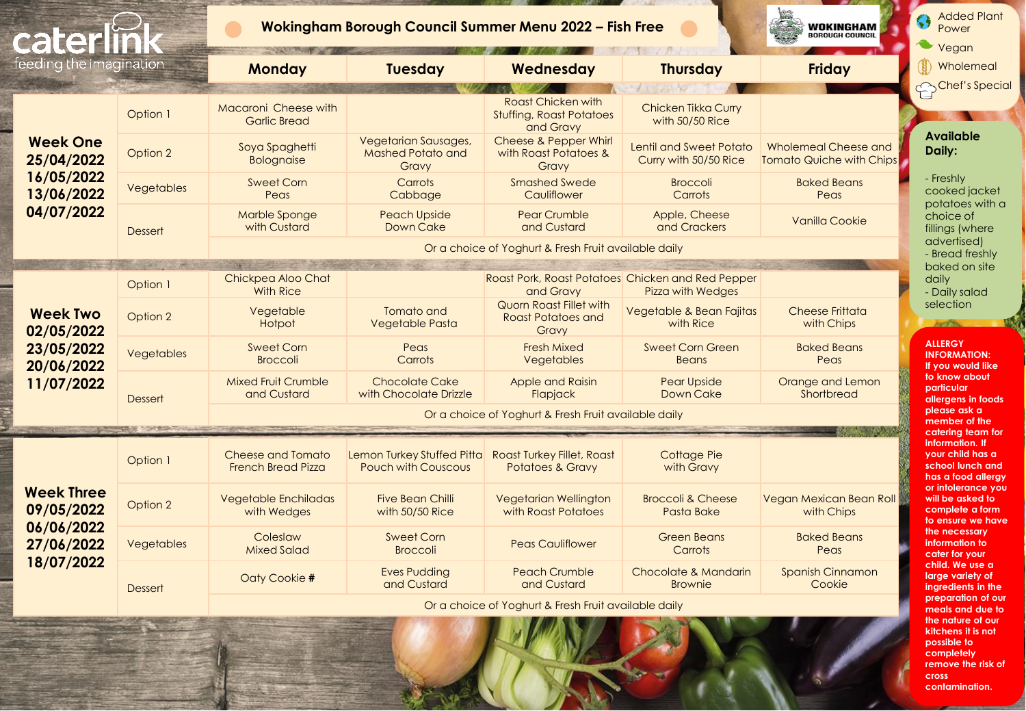| cater                                                       |                | Wokingham Borough Council Summer Menu 2022 - Fish Free | WOKINGHAM<br><b>BOROUGH COUNCIL</b>                       | <b>Added Plant</b><br>Power<br>Vegan                                      |                                                                               |                                                         |                                                                                 |  |
|-------------------------------------------------------------|----------------|--------------------------------------------------------|-----------------------------------------------------------|---------------------------------------------------------------------------|-------------------------------------------------------------------------------|---------------------------------------------------------|---------------------------------------------------------------------------------|--|
| feeding the imagination                                     |                | <b>Monday</b>                                          | <b>Tuesday</b>                                            | Wednesday                                                                 | <b>Thursday</b>                                                               | <b>Friday</b>                                           | Wholemeal                                                                       |  |
|                                                             |                |                                                        |                                                           |                                                                           |                                                                               |                                                         | Chef's Special                                                                  |  |
|                                                             | Option 1       | Macaroni Cheese with<br><b>Garlic Bread</b>            |                                                           | <b>Roast Chicken with</b><br><b>Stuffing, Roast Potatoes</b><br>and Gravy | Chicken Tikka Curry<br>with 50/50 Rice                                        |                                                         |                                                                                 |  |
| <b>Week One</b><br>25/04/2022                               | Option 2       | Soya Spaghetti<br><b>Bolognaise</b>                    | Vegetarian Sausages,<br><b>Mashed Potato and</b><br>Gravy | Cheese & Pepper Whirl<br>with Roast Potatoes &<br>Gravy                   | Lentil and Sweet Potato<br>Curry with 50/50 Rice                              | Wholemeal Cheese and<br><b>Tomato Quiche with Chips</b> | <b>Available</b><br>Daily:                                                      |  |
| 16/05/2022<br>13/06/2022                                    | Vegetables     | <b>Sweet Corn</b><br>Peas                              | Carrots<br>Cabbage                                        | <b>Smashed Swede</b><br>Cauliflower                                       | <b>Broccoli</b><br>Carrots                                                    | <b>Baked Beans</b><br>Peas                              | - Freshly<br>cooked jacket<br>potatoes with a                                   |  |
| 04/07/2022                                                  | <b>Dessert</b> | Marble Sponge<br>with Custard                          | <b>Peach Upside</b><br>Down Cake                          | <b>Pear Crumble</b><br>and Custard                                        | Apple, Cheese<br>and Crackers                                                 | <b>Vanilla Cookie</b>                                   | choice of<br>fillings (where                                                    |  |
|                                                             |                |                                                        |                                                           | Or a choice of Yoghurt & Fresh Fruit available daily                      |                                                                               |                                                         | advertised)<br>- Bread freshly                                                  |  |
|                                                             |                |                                                        |                                                           |                                                                           |                                                                               |                                                         | baked on site                                                                   |  |
|                                                             | Option 1       | Chickpea Aloo Chat<br><b>With Rice</b>                 |                                                           | and Gravy                                                                 | Roast Pork, Roast Potatoes Chicken and Red Pepper<br><b>Pizza with Wedges</b> |                                                         | daily<br>- Daily salad                                                          |  |
| <b>Week Two</b><br>02/05/2022                               | Option 2       | Vegetable<br>Hotpot                                    | Tomato and<br>Vegetable Pasta                             | Quorn Roast Fillet with<br><b>Roast Potatoes and</b><br>Gravy             | Vegetable & Bean Fajitas<br>with Rice                                         | <b>Cheese Frittata</b><br>with Chips                    | selection                                                                       |  |
| 23/05/2022<br>20/06/2022                                    | Vegetables     | <b>Sweet Corn</b><br><b>Broccoli</b>                   | Peas<br>Carrots                                           | <b>Fresh Mixed</b><br><b>Vegetables</b>                                   | <b>Sweet Corn Green</b><br><b>Beans</b>                                       | <b>Baked Beans</b><br>Peas                              | <b>ALLERGY</b><br><b>INFORMATION:</b><br>If you would like                      |  |
| 11/07/2022                                                  | Dessert        | <b>Mixed Fruit Crumble</b><br>and Custard              | <b>Chocolate Cake</b><br>with Chocolate Drizzle           | Apple and Raisin<br>Flapjack                                              | <b>Pear Upside</b><br>Down Cake                                               | Orange and Lemon<br>Shortbread                          | to know about<br>particular<br>allergens in foods                               |  |
|                                                             |                | Or a choice of Yoghurt & Fresh Fruit available daily   |                                                           |                                                                           |                                                                               |                                                         |                                                                                 |  |
|                                                             |                |                                                        |                                                           |                                                                           |                                                                               |                                                         | member of the<br>catering team for                                              |  |
|                                                             | Option 1       | <b>Cheese and Tomato</b><br><b>French Bread Pizza</b>  | Lemon Turkey Stuffed Pitta<br><b>Pouch with Couscous</b>  | <b>Roast Turkey Fillet, Roast</b><br><b>Potatoes &amp; Gravy</b>          | <b>Cottage Pie</b><br>with Gravy                                              |                                                         | information. If<br>vour child has a<br>school lunch and<br>has a food allergy   |  |
| <b>Week Three</b><br>09/05/2022<br>06/06/2022<br>27/06/2022 | Option 2       | <b>Vegetable Enchiladas</b><br>with Wedges             | <b>Five Bean Chilli</b><br>with 50/50 Rice                | <b>Vegetarian Wellington</b><br>with Roast Potatoes                       | <b>Broccoli &amp; Cheese</b><br>Pasta Bake                                    | Vegan Mexican Bean Roll<br>with Chips                   | or infolerance you<br>will be asked to<br>complete a form<br>to ensure we have  |  |
|                                                             | Vegetables     | Coleslaw<br><b>Mixed Salad</b>                         | <b>Sweet Corn</b><br><b>Broccoli</b>                      | <b>Peas Cauliflower</b>                                                   | <b>Green Beans</b><br>Carrots                                                 | <b>Baked Beans</b><br>Peas                              | the necessary<br>information to<br>cater for your                               |  |
| 18/07/2022                                                  | <b>Dessert</b> | Oaty Cookie #                                          | <b>Eves Pudding</b><br>and Custard                        | <b>Peach Crumble</b><br>and Custard                                       | Chocolate & Mandarin<br><b>Brownie</b>                                        | <b>Spanish Cinnamon</b><br>Cookie                       | child. We use a<br>large variety of<br>ingredients in the<br>preparation of our |  |
|                                                             |                |                                                        | Or a choice of Yoghurt & Fresh Fruit available daily      |                                                                           |                                                                               |                                                         |                                                                                 |  |

**the nature of kitchens it is not possible to completely remove the risk of cross contamination.**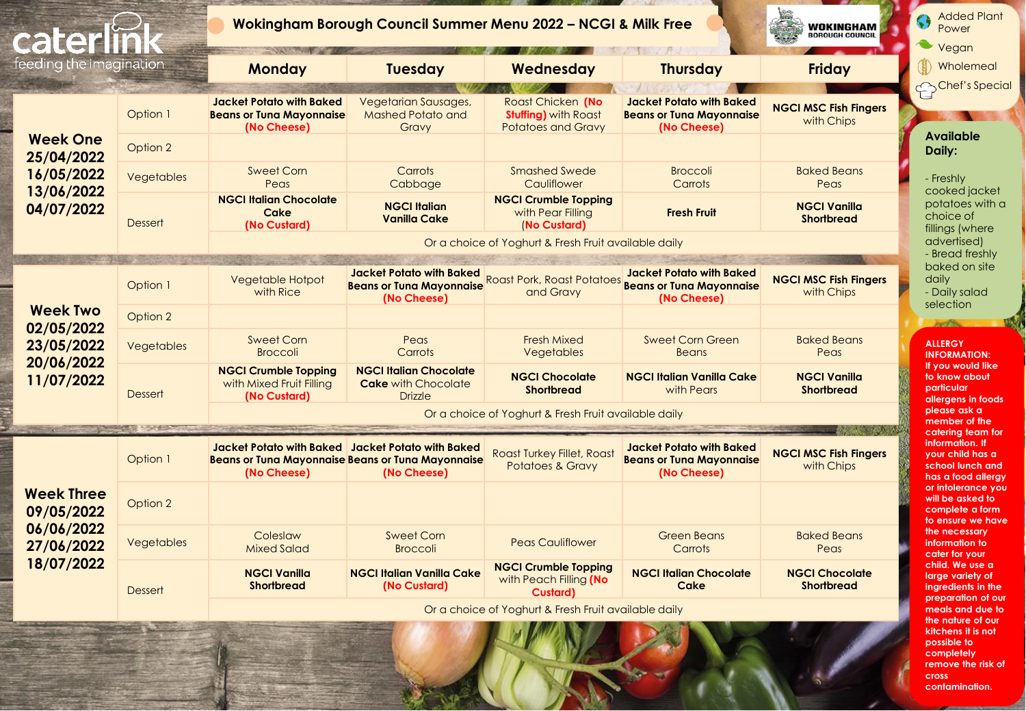

**contamination.**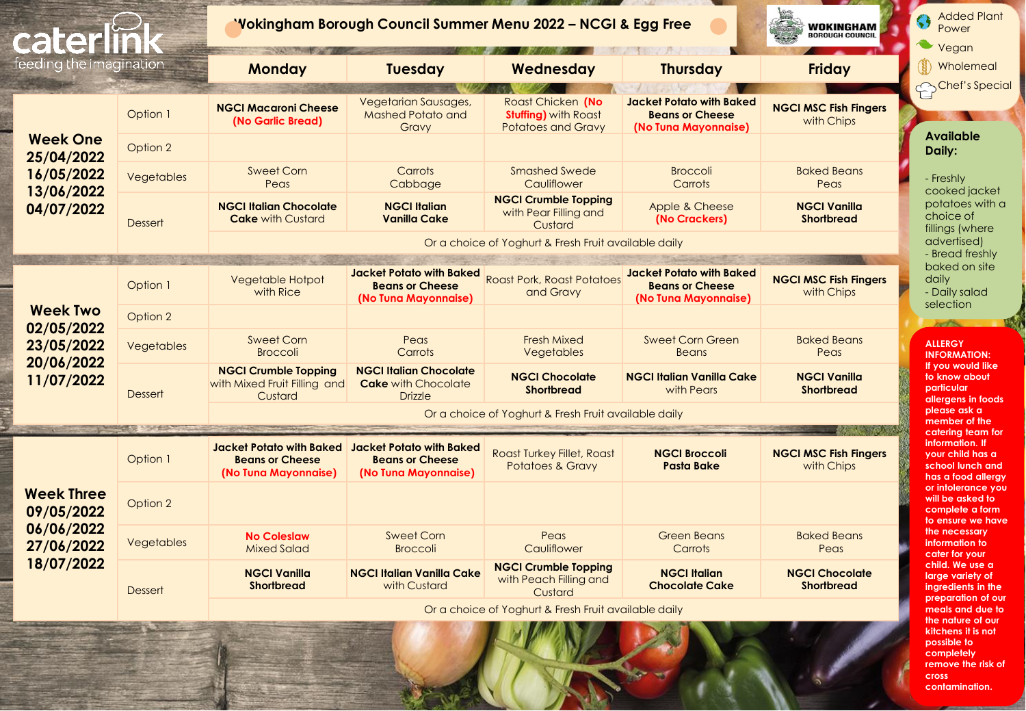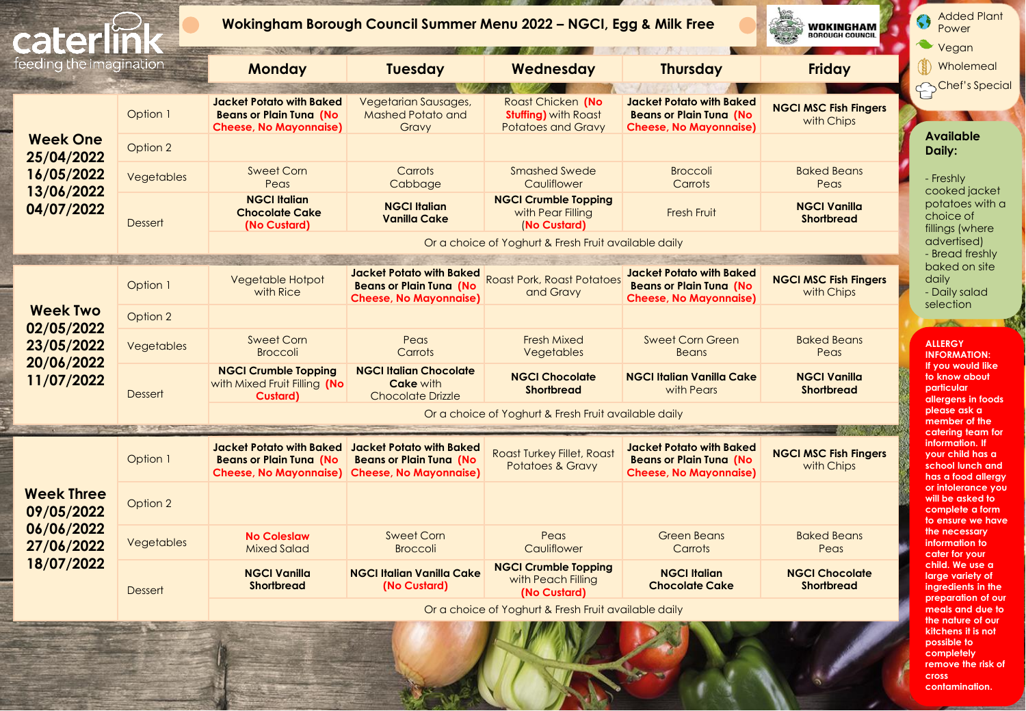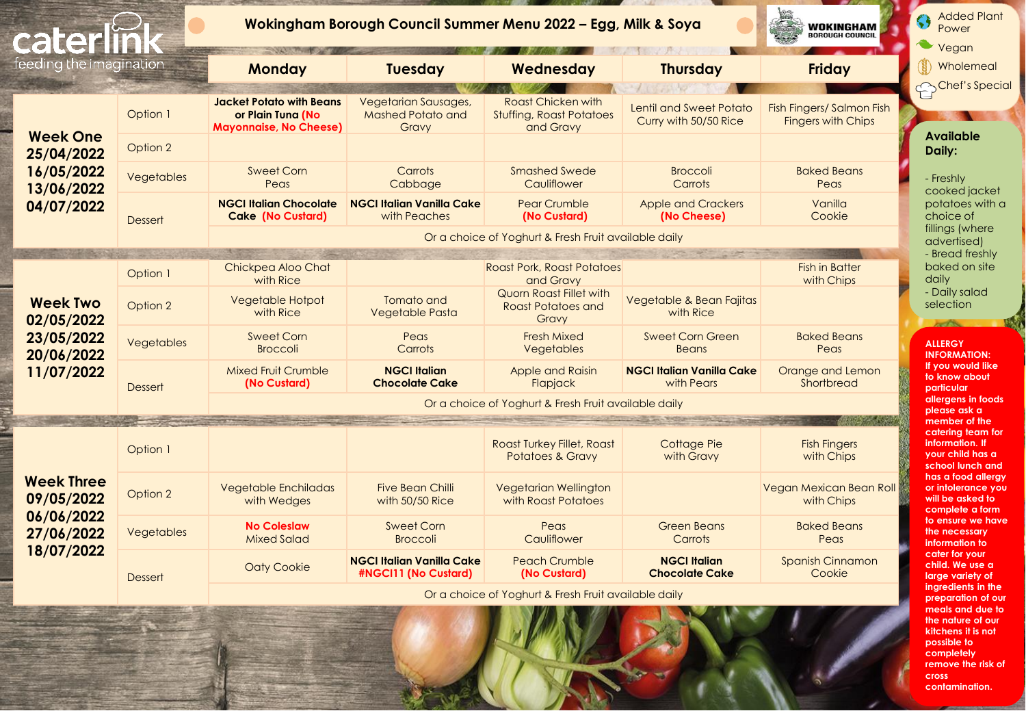| cater                                                     |                | Wokingham Borough Council Summer Menu 2022 - Egg, Milk & Soya<br>WOKINGHAM<br><b>BOROUGH COUNCIL</b> |                                                           |                                                                    |                                                  |                                                        |  |
|-----------------------------------------------------------|----------------|------------------------------------------------------------------------------------------------------|-----------------------------------------------------------|--------------------------------------------------------------------|--------------------------------------------------|--------------------------------------------------------|--|
| feeding the imagination                                   |                | <b>Monday</b>                                                                                        | <b>Tuesday</b>                                            | Wednesday                                                          | <b>Thursday</b>                                  | <b>Friday</b>                                          |  |
|                                                           | Option 1       | <b>Jacket Potato with Beans</b><br>or Plain Tuna (No<br><b>Mayonnaise, No Cheese)</b>                | Vegetarian Sausages,<br><b>Mashed Potato and</b><br>Gravy | Roast Chicken with<br><b>Stuffing, Roast Potatoes</b><br>and Gravy | Lentil and Sweet Potato<br>Curry with 50/50 Rice | Fish Fingers/ Salmon Fish<br><b>Fingers with Chips</b> |  |
| <b>Week One</b><br>25/04/2022                             | Option 2       |                                                                                                      |                                                           |                                                                    |                                                  |                                                        |  |
| 16/05/2022<br>13/06/2022                                  | Vegetables     | <b>Sweet Corn</b><br>Peas                                                                            | Carrots<br>Cabbage                                        | <b>Smashed Swede</b><br>Cauliflower                                | <b>Broccoli</b><br>Carrots                       | <b>Baked Beans</b><br>Peas                             |  |
| 04/07/2022                                                | <b>Dessert</b> | <b>NGCI Italian Chocolate</b><br><b>Cake (No Custard)</b>                                            | <b>NGCI Italian Vanilla Cake</b><br>with Peaches          | <b>Pear Crumble</b><br>(No Custard)                                | <b>Apple and Crackers</b><br>(No Cheese)         | Vanilla<br>Cookie                                      |  |
|                                                           |                |                                                                                                      |                                                           | Or a choice of Yoghurt & Fresh Fruit available daily               |                                                  |                                                        |  |
|                                                           | Option 1       | Chickpea Aloo Chat<br>with Rice                                                                      |                                                           | <b>Roast Pork, Roast Potatoes</b><br>and Gravy                     |                                                  | <b>Fish in Batter</b><br>with Chips                    |  |
| <b>Week Two</b><br>02/05/2022<br>23/05/2022<br>20/06/2022 | Option 2       | Vegetable Hotpot<br>with Rice                                                                        | Tomato and<br><b>Vegetable Pasta</b>                      | Quorn Roast Fillet with<br><b>Roast Potatoes and</b><br>Gravy      | Vegetable & Bean Fajitas<br>with Rice            |                                                        |  |
|                                                           | Vegetables     | <b>Sweet Corn</b><br><b>Broccoli</b>                                                                 | Peas<br>Carrots                                           | <b>Fresh Mixed</b><br>Vegetables                                   | <b>Sweet Corn Green</b><br><b>Beans</b>          | <b>Baked Beans</b><br>Peas                             |  |
| 11/07/2022                                                | <b>Dessert</b> | <b>Mixed Fruit Crumble</b><br>(No Custard)                                                           | <b>NGCI Italian</b><br><b>Chocolate Cake</b>              | Apple and Raisin<br>Flapjack                                       | <b>NGCI Italian Vanilla Cake</b><br>with Pears   | Orange and Lemon<br>Shortbread                         |  |
|                                                           |                |                                                                                                      |                                                           | Or a choice of Yoghurt & Fresh Fruit available daily               |                                                  |                                                        |  |
|                                                           | Option 1       |                                                                                                      |                                                           | <b>Roast Turkey Fillet, Roast</b><br><b>Potatoes &amp; Gravy</b>   | Cottage Pie<br>with Gravy                        | <b>Fish Fingers</b><br>with Chips                      |  |
| <b>Week Three</b><br>09/05/2022                           | Option 2       | <b>Vegetable Enchiladas</b><br>with Wedges                                                           | <b>Five Bean Chilli</b><br>with 50/50 Rice                | Vegetarian Wellington<br>with Roast Potatoes                       |                                                  | Vegan Mexican Bean Roll<br>with Chips                  |  |
| 06/06/2022<br>27/06/2022<br>18/07/2022                    | Vegetables     | <b>No Coleslaw</b><br><b>Mixed Salad</b>                                                             | Sweet Corn<br><b>Broccoli</b>                             | Peas<br>Cauliflower                                                | <b>Green Beans</b><br>Carrots                    | <b>Baked Beans</b><br>Peas                             |  |
|                                                           | <b>Dessert</b> | <b>Oaty Cookie</b>                                                                                   | <b>NGCI Italian Vanilla Cake</b><br>#NGCI11 (No Custard)  | <b>Peach Crumble</b><br>(No Custard)                               | <b>NGCI Italian</b><br><b>Chocolate Cake</b>     | <b>Spanish Cinnamon</b><br>Cookie                      |  |
|                                                           |                |                                                                                                      |                                                           | Or a choice of Yoghurt & Fresh Fruit available daily               |                                                  |                                                        |  |

**possible to completely remove the risk of** 

**cross contamination.**